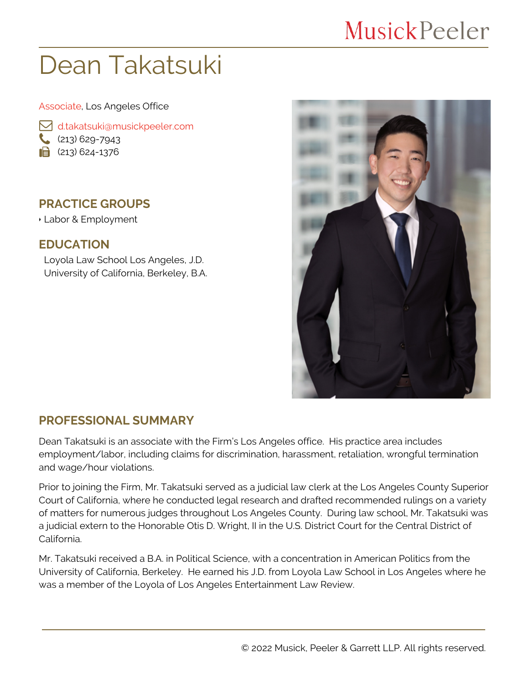## **MusickPeeler**

# Dean Takatsuki

#### Associate, Los Angeles Office

 [d.takatsuki@musickpeeler.com](mailto:d.takatsuki@musickpeeler.com)  $(213)$  629-7943  $\mathbf{a}$  (213) 624-1376

### **PRACTICE GROUPS**

Labor & Employment

#### **EDUCATION**

Loyola Law School Los Angeles, J.D. University of California, Berkeley, B.A.



### **PROFESSIONAL SUMMARY**

Dean Takatsuki is an associate with the Firm's Los Angeles office. His practice area includes employment/labor, including claims for discrimination, harassment, retaliation, wrongful termination and wage/hour violations.

Prior to joining the Firm, Mr. Takatsuki served as a judicial law clerk at the Los Angeles County Superior Court of California, where he conducted legal research and drafted recommended rulings on a variety of matters for numerous judges throughout Los Angeles County. During law school, Mr. Takatsuki was a judicial extern to the Honorable Otis D. Wright, II in the U.S. District Court for the Central District of California.

Mr. Takatsuki received a B.A. in Political Science, with a concentration in American Politics from the University of California, Berkeley. He earned his J.D. from Loyola Law School in Los Angeles where he was a member of the Loyola of Los Angeles Entertainment Law Review.